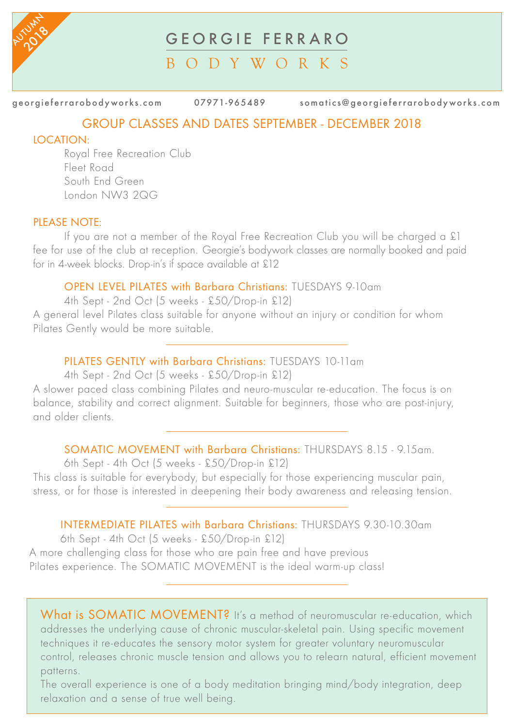

GEORGIE FERRARO

# BODYWORKS

georgieferrarobodyworks.com 07971-965489 somatics@georgieferrarobodyworks.com

## GROUP CLASSES AND DATES SEPTEMBER - DECEMBER 2018

### LOCATION:

 Royal Free Recreation Club Fleet Road South End Green London NW3 2QG

### PLEASE NOTE:

If you are not a member of the Royal Free Recreation Club you will be charged a £1 fee for use of the club at reception. Georgie's bodywork classes are normally booked and paid for in 4-week blocks. Drop-in's if space available at £12

### OPEN LEVEL PILATES with Barbara Christians: TUESDAYS 9-10am

 4th Sept - 2nd Oct (5 weeks - £50/Drop-in £12) A general level Pilates class suitable for anyone without an injury or condition for whom Pilates Gently would be more suitable.

### PILATES GENTLY with Barbara Christians: TUESDAYS 10-11am

 4th Sept - 2nd Oct (5 weeks - £50/Drop-in £12)

A slower paced class combining Pilates and neuro-muscular re-education. The focus is on balance, stability and correct alignment. Suitable for beginners, those who are post-injury, and older clients.

### SOMATIC MOVEMENT with Barbara Christians: THURSDAYS 8.15 - 9.15am.

 6th Sept - 4th Oct (5 weeks - £50/Drop-in £12) This class is suitable for everybody, but especially for those experiencing muscular pain, stress, or for those is interested in deepening their body awareness and releasing tension.

### INTERMEDIATE PILATES with Barbara Christians: THURSDAYS 9.30 -10.30am

 6th Sept - 4th Oct (5 weeks - £50/Drop-in £12) A more challenging class for those who are pain free and have previous Pilates experience. The SOMATIC MOVEMENT is the ideal warm-up class!

What is SOMATIC MOVEMENT? It's a method of neuromuscular re-education, which addresses the underlying cause of chronic muscular-skeletal pain. Using specific movement techniques it re-educates the sensory motor system for greater voluntary neuromuscular control, releases chronic muscle tension and allows you to relearn natural, efficient movement patterns.

The overall experience is one of a body meditation bringing mind/body integration, deep relaxation and a sense of true well being.